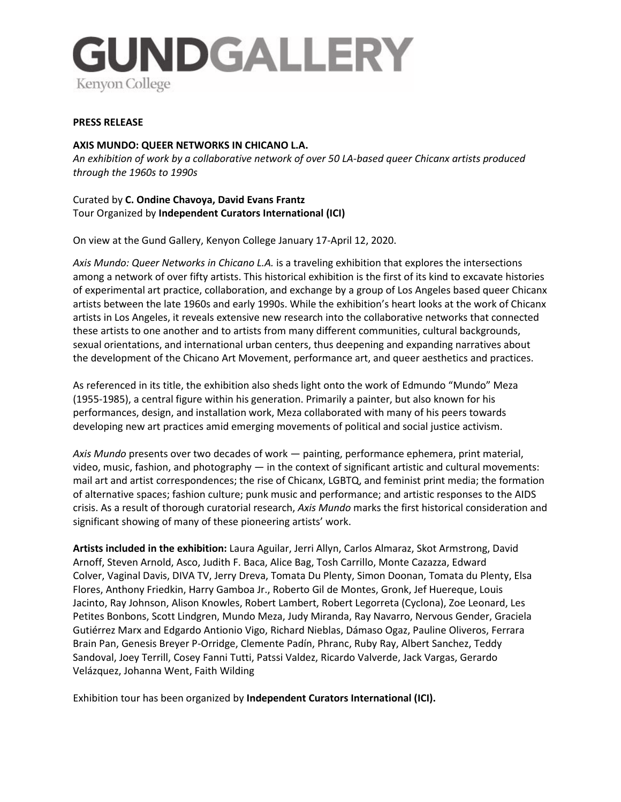

### **PRESS RELEASE**

# **AXIS MUNDO: QUEER NETWORKS IN CHICANO L.A.**

*An exhibition of work by a collaborative network of over 50 LA-based queer Chicanx artists produced through the 1960s to 1990s*

Curated by **C. Ondine Chavoya, David Evans Frantz** Tour Organized by **Independent Curators International (ICI)**

On view at the Gund Gallery, Kenyon College January 17-April 12, 2020.

*Axis Mundo: Queer Networks in Chicano L.A.* is a traveling exhibition that explores the intersections among a network of over fifty artists. This historical exhibition is the first of its kind to excavate histories of experimental art practice, collaboration, and exchange by a group of Los Angeles based queer Chicanx artists between the late 1960s and early 1990s. While the exhibition's heart looks at the work of Chicanx artists in Los Angeles, it reveals extensive new research into the collaborative networks that connected these artists to one another and to artists from many different communities, cultural backgrounds, sexual orientations, and international urban centers, thus deepening and expanding narratives about the development of the Chicano Art Movement, performance art, and queer aesthetics and practices.

As referenced in its title, the exhibition also sheds light onto the work of Edmundo "Mundo" Meza (1955-1985), a central figure within his generation. Primarily a painter, but also known for his performances, design, and installation work, Meza collaborated with many of his peers towards developing new art practices amid emerging movements of political and social justice activism.

*Axis Mundo* presents over two decades of work — painting, performance ephemera, print material, video, music, fashion, and photography — in the context of significant artistic and cultural movements: mail art and artist correspondences; the rise of Chicanx, LGBTQ, and feminist print media; the formation of alternative spaces; fashion culture; punk music and performance; and artistic responses to the AIDS crisis. As a result of thorough curatorial research, *Axis Mundo* marks the first historical consideration and significant showing of many of these pioneering artists' work.

**Artists included in the exhibition:** Laura Aguilar, Jerri Allyn, Carlos Almaraz, Skot Armstrong, David Arnoff, Steven Arnold, Asco, Judith F. Baca, Alice Bag, Tosh Carrillo, Monte Cazazza, Edward Colver, Vaginal Davis, DIVA TV, Jerry Dreva, Tomata Du Plenty, Simon Doonan, Tomata du Plenty, Elsa Flores, Anthony Friedkin, Harry Gamboa Jr., Roberto Gil de Montes, Gronk, Jef Huereque, Louis Jacinto, Ray Johnson, Alison Knowles, Robert Lambert, Robert Legorreta (Cyclona), Zoe Leonard, Les Petites Bonbons, Scott Lindgren, Mundo Meza, Judy Miranda, Ray Navarro, Nervous Gender, Graciela Gutiérrez Marx and Edgardo Antionio Vigo, Richard Nieblas, Dámaso Ogaz, Pauline Oliveros, Ferrara Brain Pan, Genesis Breyer P-Orridge, Clemente Padín, Phranc, Ruby Ray, Albert Sanchez, Teddy Sandoval, Joey Terrill, Cosey Fanni Tutti, Patssi Valdez, Ricardo Valverde, Jack Vargas, Gerardo Velázquez, Johanna Went, Faith Wilding

Exhibition tour has been organized by **Independent Curators International (ICI).**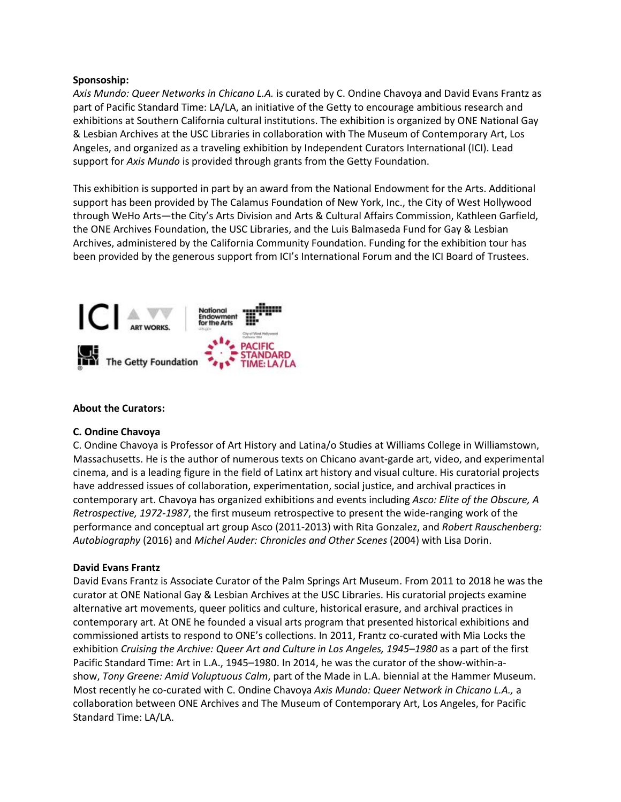### **Sponsoship:**

*Axis Mundo: Queer Networks in Chicano L.A.* is curated by C. Ondine Chavoya and David Evans Frantz as part of Pacific Standard Time: LA/LA, an initiative of the Getty to encourage ambitious research and exhibitions at Southern California cultural institutions. The exhibition is organized by ONE National Gay & Lesbian Archives at the USC Libraries in collaboration with The Museum of Contemporary Art, Los Angeles, and organized as a traveling exhibition by Independent Curators International (ICI). Lead support for *Axis Mundo* is provided through grants from the Getty Foundation.

This exhibition is supported in part by an award from the National Endowment for the Arts. Additional support has been provided by The Calamus Foundation of New York, Inc., the City of West Hollywood through WeHo Arts—the City's Arts Division and Arts & Cultural Affairs Commission, Kathleen Garfield, the ONE Archives Foundation, the USC Libraries, and the Luis Balmaseda Fund for Gay & Lesbian Archives, administered by the California Community Foundation. Funding for the exhibition tour has been provided by the generous support from ICI's International Forum and the ICI Board of Trustees.



## **About the Curators:**

## **C. Ondine Chavoya**

C. Ondine Chavoya is Professor of Art History and Latina/o Studies at Williams College in Williamstown, Massachusetts. He is the author of numerous texts on Chicano avant-garde art, video, and experimental cinema, and is a leading figure in the field of Latinx art history and visual culture. His curatorial projects have addressed issues of collaboration, experimentation, social justice, and archival practices in contemporary art. Chavoya has organized exhibitions and events including *Asco: Elite of the Obscure, A Retrospective, 1972-1987*, the first museum retrospective to present the wide-ranging work of the performance and conceptual art group Asco (2011-2013) with Rita Gonzalez, and *Robert Rauschenberg: Autobiography* (2016) and *Michel Auder: Chronicles and Other Scenes* (2004) with Lisa Dorin.

## **David Evans Frantz**

David Evans Frantz is Associate Curator of the Palm Springs Art Museum. From 2011 to 2018 he was the curator at ONE National Gay & Lesbian Archives at the USC Libraries. His curatorial projects examine alternative art movements, queer politics and culture, historical erasure, and archival practices in contemporary art. At ONE he founded a visual arts program that presented historical exhibitions and commissioned artists to respond to ONE's collections. In 2011, Frantz co-curated with Mia Locks the exhibition *Cruising the Archive: Queer Art and Culture in Los Angeles, 1945–1980* as a part of the first Pacific Standard Time: Art in L.A., 1945–1980. In 2014, he was the curator of the show-within-ashow, *Tony Greene: Amid Voluptuous Calm*, part of the Made in L.A. biennial at the Hammer Museum. Most recently he co-curated with C. Ondine Chavoya *Axis Mundo: Queer Network in Chicano L.A.,* a collaboration between ONE Archives and The Museum of Contemporary Art, Los Angeles, for Pacific Standard Time: LA/LA.